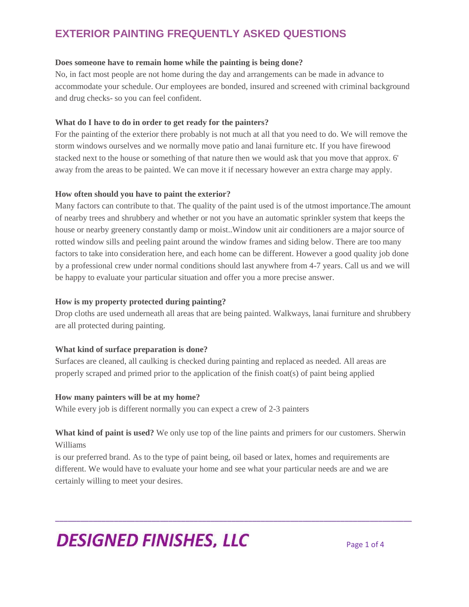### **Does someone have to remain home while the painting is being done?**

No, in fact most people are not home during the day and arrangements can be made in advance to accommodate your schedule. Our employees are bonded, insured and screened with criminal background and drug checks- so you can feel confident.

# **What do I have to do in order to get ready for the painters?**

For the painting of the exterior there probably is not much at all that you need to do. We will remove the storm windows ourselves and we normally move patio and lanai furniture etc. If you have firewood stacked next to the house or something of that nature then we would ask that you move that approx. 6' away from the areas to be painted. We can move it if necessary however an extra charge may apply.

# **How often should you have to paint the exterior?**

Many factors can contribute to that. The quality of the paint used is of the utmost importance.The amount of nearby trees and shrubbery and whether or not you have an automatic sprinkler system that keeps the house or nearby greenery constantly damp or moist..Window unit air conditioners are a major source of rotted window sills and peeling paint around the window frames and siding below. There are too many factors to take into consideration here, and each home can be different. However a good quality job done by a professional crew under normal conditions should last anywhere from 4-7 years. Call us and we will be happy to evaluate your particular situation and offer you a more precise answer.

# **How is my property protected during painting?**

Drop cloths are used underneath all areas that are being painted. Walkways, lanai furniture and shrubbery are all protected during painting.

# **What kind of surface preparation is done?**

Surfaces are cleaned, all caulking is checked during painting and replaced as needed. All areas are properly scraped and primed prior to the application of the finish coat(s) of paint being applied

#### **How many painters will be at my home?**

While every job is different normally you can expect a crew of 2-3 painters

**What kind of paint is used?** We only use top of the line paints and primers for our customers. Sherwin Williams

\_\_\_\_\_\_\_\_\_\_\_\_\_\_\_\_\_\_\_\_\_\_\_\_\_\_\_\_\_\_\_\_\_\_\_\_\_\_\_\_\_\_\_\_\_\_\_\_\_\_\_\_\_\_\_\_\_\_\_\_\_\_\_\_\_\_\_\_\_\_\_\_\_\_\_\_\_\_\_\_\_\_\_\_\_

is our preferred brand. As to the type of paint being, oil based or latex, homes and requirements are different. We would have to evaluate your home and see what your particular needs are and we are certainly willing to meet your desires.

# **DESIGNED FINISHES, LLC** Page 1 of 4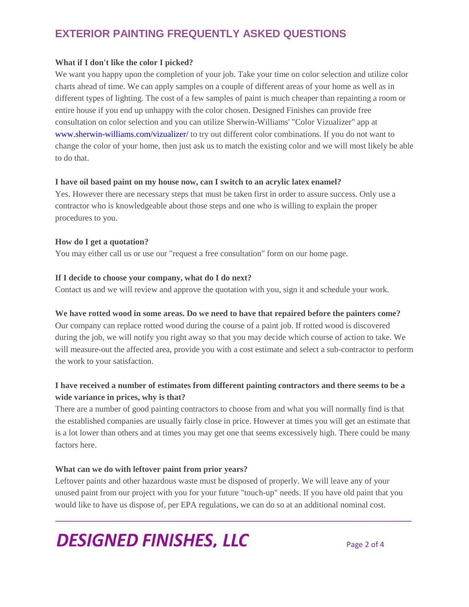### **What if I don't like the color I picked?**

We want you happy upon the completion of your job. Take your time on color selection and utilize color charts ahead of time. We can apply samples on a couple of different areas of your home as well as in different types of lighting. The cost of a few samples of paint is much cheaper than repainting a room or entire house if you end up unhappy with the color chosen. Designed Finishes can provide free consultation on color selection and you can utilize Sherwin-Williams' "Color Vizualizer" app at [www.sherwin-williams.com/vizualizer/](http://www.sherwin-williams.com/vizualizer/) to try out different color combinations. If you do not want to change the color of your home, then just ask us to match the existing color and we will most likely be able to do that.

### **I have oil based paint on my house now, can I switch to an acrylic latex enamel?**

Yes. However there are necessary steps that must be taken first in order to assure success. Only use a contractor who is knowledgeable about those steps and one who is willing to explain the proper procedures to you.

# **How do I get a quotation?**

You may either call us or use our "request a free consultation" form on our home page.

### **If I decide to choose your company, what do I do next?**

Contact us and we will review and approve the quotation with you, sign it and schedule your work.

# **We have rotted wood in some areas. Do we need to have that repaired before the painters come?**

Our company can replace rotted wood during the course of a paint job. If rotted wood is discovered during the job, we will notify you right away so that you may decide which course of action to take. We will measure-out the affected area, provide you with a cost estimate and select a sub-contractor to perform the work to your satisfaction.

# **I have received a number of estimates from different painting contractors and there seems to be a wide variance in prices, why is that?**

There are a number of good painting contractors to choose from and what you will normally find is that the established companies are usually fairly close in price. However at times you will get an estimate that is a lot lower than others and at times you may get one that seems excessively high. There could be many factors here.

# **What can we do with leftover paint from prior years?**

Leftover paints and other hazardous waste must be disposed of properly. We will leave any of your unused paint from our project with you for your future "touch-up" needs. If you have old paint that you would like to have us dispose of, per EPA regulations, we can do so at an additional nominal cost.

\_\_\_\_\_\_\_\_\_\_\_\_\_\_\_\_\_\_\_\_\_\_\_\_\_\_\_\_\_\_\_\_\_\_\_\_\_\_\_\_\_\_\_\_\_\_\_\_\_\_\_\_\_\_\_\_\_\_\_\_\_\_\_\_\_\_\_\_\_\_\_\_\_\_\_\_\_\_\_\_\_\_\_\_\_

# **DESIGNED FINISHES, LLC**  $_{Page 2 of 4}$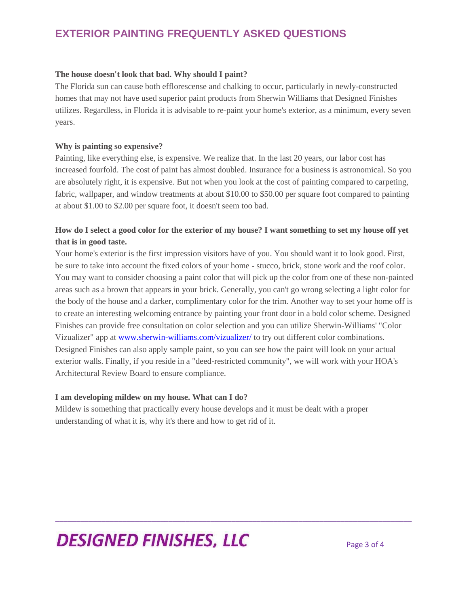### **The house doesn't look that bad. Why should I paint?**

The Florida sun can cause both efflorescense and chalking to occur, particularly in newly-constructed homes that may not have used superior paint products from Sherwin Williams that Designed Finishes utilizes. Regardless, in Florida it is advisable to re-paint your home's exterior, as a minimum, every seven years.

#### **Why is painting so expensive?**

Painting, like everything else, is expensive. We realize that. In the last 20 years, our labor cost has increased fourfold. The cost of paint has almost doubled. Insurance for a business is astronomical. So you are absolutely right, it is expensive. But not when you look at the cost of painting compared to carpeting, fabric, wallpaper, and window treatments at about \$10.00 to \$50.00 per square foot compared to painting at about \$1.00 to \$2.00 per square foot, it doesn't seem too bad.

# **How do I select a good color for the exterior of my house? I want something to set my house off yet that is in good taste.**

Your home's exterior is the first impression visitors have of you. You should want it to look good. First, be sure to take into account the fixed colors of your home - stucco, brick, stone work and the roof color. You may want to consider choosing a paint color that will pick up the color from one of these non-painted areas such as a brown that appears in your brick. Generally, you can't go wrong selecting a light color for the body of the house and a darker, complimentary color for the trim. Another way to set your home off is to create an interesting welcoming entrance by painting your front door in a bold color scheme. Designed Finishes can provide free consultation on color selection and you can utilize Sherwin-Williams' "Color Vizualizer" app at [www.sherwin-williams.com/vizualizer/](http://www.sherwin-wiliams.com/vizualizer/) to try out different color combinations. Designed Finishes can also apply sample paint, so you can see how the paint will look on your actual exterior walls. Finally, if you reside in a "deed-restricted community", we will work with your HOA's Architectural Review Board to ensure compliance.

\_\_\_\_\_\_\_\_\_\_\_\_\_\_\_\_\_\_\_\_\_\_\_\_\_\_\_\_\_\_\_\_\_\_\_\_\_\_\_\_\_\_\_\_\_\_\_\_\_\_\_\_\_\_\_\_\_\_\_\_\_\_\_\_\_\_\_\_\_\_\_\_\_\_\_\_\_\_\_\_\_\_\_\_\_

#### **I am developing mildew on my house. What can I do?**

Mildew is something that practically every house develops and it must be dealt with a proper understanding of what it is, why it's there and how to get rid of it.

# **DESIGNED FINISHES, LLC** Page 3 of 4